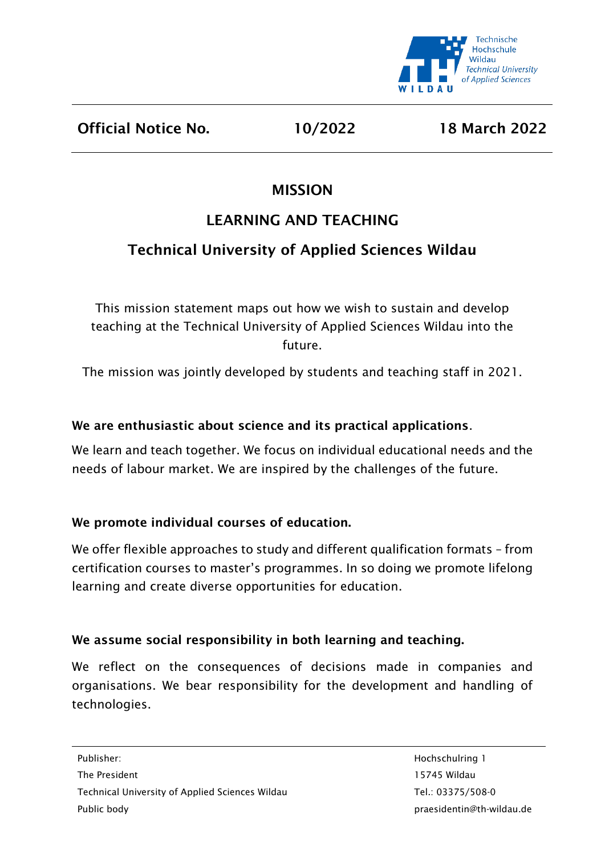

Official Notice No. 10/2022 18 March 2022

## MISSION

# LEARNING AND TEACHING

# Technical University of Applied Sciences Wildau

This mission statement maps out how we wish to sustain and develop teaching at the Technical University of Applied Sciences Wildau into the future.

The mission was jointly developed by students and teaching staff in 2021.

## We are enthusiastic about science and its practical applications.

We learn and teach together. We focus on individual educational needs and the needs of labour market. We are inspired by the challenges of the future.

## We promote individual courses of education.

We offer flexible approaches to study and different qualification formats - from certification courses to master's programmes. In so doing we promote lifelong learning and create diverse opportunities for education.

## We assume social responsibility in both learning and teaching.

We reflect on the consequences of decisions made in companies and organisations. We bear responsibility for the development and handling of technologies.

The President 15745 Wildau Technical University of Applied Sciences Wildau Tel.: 03375/508-0 Public body praesidentin@th-wildau.de

Publisher: Hochschulring 1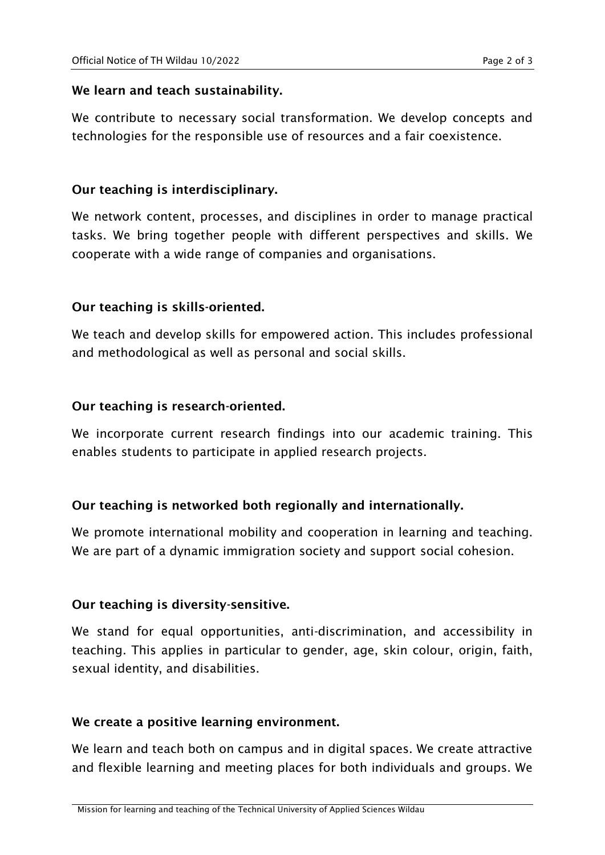#### We learn and teach sustainability.

We contribute to necessary social transformation. We develop concepts and technologies for the responsible use of resources and a fair coexistence.

#### Our teaching is interdisciplinary.

We network content, processes, and disciplines in order to manage practical tasks. We bring together people with different perspectives and skills. We cooperate with a wide range of companies and organisations.

#### Our teaching is skills-oriented.

We teach and develop skills for empowered action. This includes professional and methodological as well as personal and social skills.

#### Our teaching is research-oriented.

We incorporate current research findings into our academic training. This enables students to participate in applied research projects.

### Our teaching is networked both regionally and internationally.

We promote international mobility and cooperation in learning and teaching. We are part of a dynamic immigration society and support social cohesion.

### Our teaching is diversity-sensitive.

We stand for equal opportunities, anti-discrimination, and accessibility in teaching. This applies in particular to gender, age, skin colour, origin, faith, sexual identity, and disabilities.

#### We create a positive learning environment.

We learn and teach both on campus and in digital spaces. We create attractive and flexible learning and meeting places for both individuals and groups. We